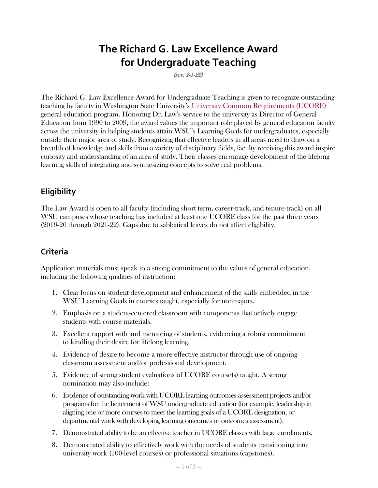# **The Richard G. Law Excellence Award for Undergraduate Teaching**

(rev. 2-1-22)

The Richard G. Law Excellence Award for Undergraduate Teaching is given to recognize outstanding teaching by faculty in Washington State University's [University Common Requirements \(UCORE\)](https://ucore.wsu.edu/) general education program. Honoring Dr. Law's service to the university as Director of General Education from 1990 to 2009, the award values the important role played by general education faculty across the university in helping students attain WSU's Learning Goals for undergraduates, especially outside their major area of study. Recognizing that effective leaders in all areas need to draw on a breadth of knowledge and skills from a variety of disciplinary fields, faculty receiving this award inspire curiosity and understanding of an area of study. Their classes encourage development of the lifelong learning skills of integrating and synthesizing concepts to solve real problems.

## **Eligibility**

The Law Award is open to all faculty (including short term, career-track, and tenure-track) on all WSU campuses whose teaching has included at least one UCORE class for the past three years (2019-20 through 2021-22). Gaps due to sabbatical leaves do not affect eligibility.

## **Criteria**

Application materials must speak to a strong commitment to the values of general education, including the following qualities of instruction:

- 1. Clear focus on student development and enhancement of the skills embedded in the WSU Learning Goals in courses taught, especially for nonmajors.
- 2. Emphasis on a student-centered classroom with components that actively engage students with course materials.
- 3. Excellent rapport with and mentoring of students, evidencing a robust commitment to kindling their desire for lifelong learning.
- 4. Evidence of desire to become a more effective instructor through use of ongoing classroom assessment and/or professional development.
- 5. Evidence of strong student evaluations of UCORE course(s) taught. A strong nomination may also include:
- 6. Evidence of outstanding work with UCORE learning outcomes assessment projects and/or programs for the betterment of WSU undergraduate education (for example, leadership in aligning one or more courses to meet the learning goals of a UCORE designation, or departmental work with developing learning outcomes or outcomes assessment).
- 7. Demonstrated ability to be an effective teacher in UCORE classes with large enrollments.
- 8. Demonstrated ability to effectively work with the needs of students transitioning into university work (100-level courses) or professional situations (capstones).